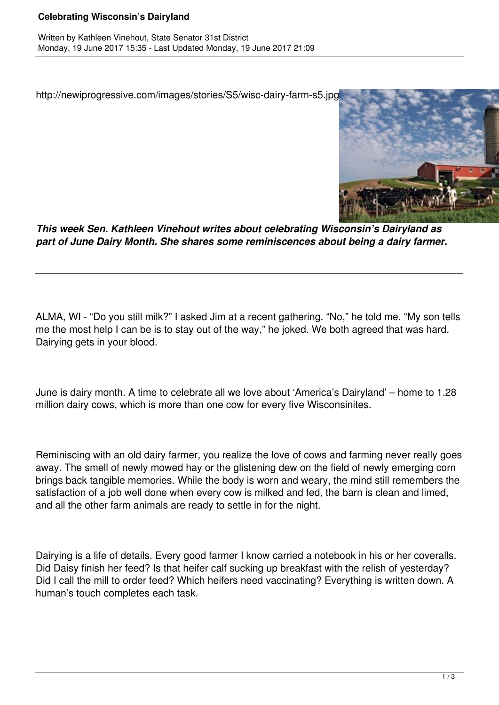## **Celebrating Wisconsin's Dairyland**

http://newiprogressive.com/images/stories/S5/wisc-dairy-farm-s5.jpg



*This week Sen. Kathleen Vinehout writes about celebrating Wisconsin's Dairyland as part of June Dairy Month. She shares some reminiscences about being a dairy farmer.*

ALMA, WI - "Do you still milk?" I asked Jim at a recent gathering. "No," he told me. "My son tells me the most help I can be is to stay out of the way," he joked. We both agreed that was hard. Dairying gets in your blood.

June is dairy month. A time to celebrate all we love about 'America's Dairyland' – home to 1.28 million dairy cows, which is more than one cow for every five Wisconsinites.

Reminiscing with an old dairy farmer, you realize the love of cows and farming never really goes away. The smell of newly mowed hay or the glistening dew on the field of newly emerging corn brings back tangible memories. While the body is worn and weary, the mind still remembers the satisfaction of a job well done when every cow is milked and fed, the barn is clean and limed, and all the other farm animals are ready to settle in for the night.

Dairying is a life of details. Every good farmer I know carried a notebook in his or her coveralls. Did Daisy finish her feed? Is that heifer calf sucking up breakfast with the relish of yesterday? Did I call the mill to order feed? Which heifers need vaccinating? Everything is written down. A human's touch completes each task.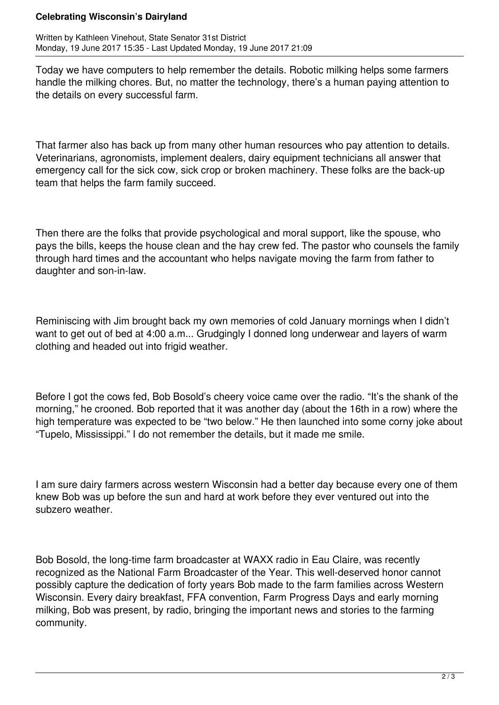## **Celebrating Wisconsin's Dairyland**

Written by Kathleen Vinehout, State Senator 31st District Monday, 19 June 2017 15:35 - Last Updated Monday, 19 June 2017 21:09

Today we have computers to help remember the details. Robotic milking helps some farmers handle the milking chores. But, no matter the technology, there's a human paying attention to the details on every successful farm.

That farmer also has back up from many other human resources who pay attention to details. Veterinarians, agronomists, implement dealers, dairy equipment technicians all answer that emergency call for the sick cow, sick crop or broken machinery. These folks are the back-up team that helps the farm family succeed.

Then there are the folks that provide psychological and moral support, like the spouse, who pays the bills, keeps the house clean and the hay crew fed. The pastor who counsels the family through hard times and the accountant who helps navigate moving the farm from father to daughter and son-in-law.

Reminiscing with Jim brought back my own memories of cold January mornings when I didn't want to get out of bed at 4:00 a.m... Grudgingly I donned long underwear and layers of warm clothing and headed out into frigid weather.

Before I got the cows fed, Bob Bosold's cheery voice came over the radio. "It's the shank of the morning," he crooned. Bob reported that it was another day (about the 16th in a row) where the high temperature was expected to be "two below." He then launched into some corny joke about "Tupelo, Mississippi." I do not remember the details, but it made me smile.

I am sure dairy farmers across western Wisconsin had a better day because every one of them knew Bob was up before the sun and hard at work before they ever ventured out into the subzero weather.

Bob Bosold, the long-time farm broadcaster at WAXX radio in Eau Claire, was recently recognized as the National Farm Broadcaster of the Year. This well-deserved honor cannot possibly capture the dedication of forty years Bob made to the farm families across Western Wisconsin. Every dairy breakfast, FFA convention, Farm Progress Days and early morning milking, Bob was present, by radio, bringing the important news and stories to the farming community.